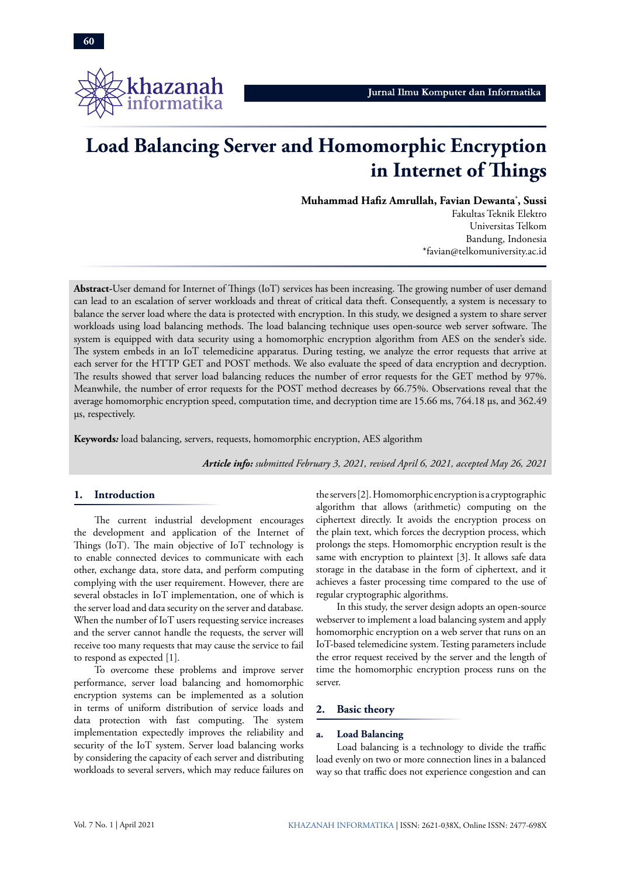

# **Load Balancing Server and Homomorphic Encryption in Internet of Things**

**Muhammad Hafiz Amrullah, Favian Dewanta\* , Sussi**

Fakultas Teknik Elektro Universitas Telkom Bandung, Indonesia \*favian@telkomuniversity.ac.id

**Abstract-**User demand for Internet of Things (IoT) services has been increasing. The growing number of user demand can lead to an escalation of server workloads and threat of critical data theft. Consequently, a system is necessary to balance the server load where the data is protected with encryption. In this study, we designed a system to share server workloads using load balancing methods. The load balancing technique uses open-source web server software. The system is equipped with data security using a homomorphic encryption algorithm from AES on the sender's side. The system embeds in an IoT telemedicine apparatus. During testing, we analyze the error requests that arrive at each server for the HTTP GET and POST methods. We also evaluate the speed of data encryption and decryption. The results showed that server load balancing reduces the number of error requests for the GET method by 97%. Meanwhile, the number of error requests for the POST method decreases by 66.75%. Observations reveal that the average homomorphic encryption speed, computation time, and decryption time are 15.66 ms, 764.18 µs, and 362.49 µs, respectively.

**Keywords***:* load balancing, servers, requests, homomorphic encryption, AES algorithm

*Article info: submitted February 3, 2021, revised April 6, 2021, accepted May 26, 2021*

# **1. Introduction**

The current industrial development encourages the development and application of the Internet of Things (IoT). The main objective of IoT technology is to enable connected devices to communicate with each other, exchange data, store data, and perform computing complying with the user requirement. However, there are several obstacles in IoT implementation, one of which is the server load and data security on the server and database. When the number of IoT users requesting service increases and the server cannot handle the requests, the server will receive too many requests that may cause the service to fail to respond as expected [1].

To overcome these problems and improve server performance, server load balancing and homomorphic encryption systems can be implemented as a solution in terms of uniform distribution of service loads and data protection with fast computing. The system implementation expectedly improves the reliability and security of the IoT system. Server load balancing works by considering the capacity of each server and distributing workloads to several servers, which may reduce failures on the servers [2]. Homomorphic encryption is a cryptographic algorithm that allows (arithmetic) computing on the ciphertext directly. It avoids the encryption process on the plain text, which forces the decryption process, which prolongs the steps. Homomorphic encryption result is the same with encryption to plaintext [3]. It allows safe data storage in the database in the form of ciphertext, and it achieves a faster processing time compared to the use of regular cryptographic algorithms.

In this study, the server design adopts an open-source webserver to implement a load balancing system and apply homomorphic encryption on a web server that runs on an IoT-based telemedicine system. Testing parameters include the error request received by the server and the length of time the homomorphic encryption process runs on the server.

## **2. Basic theory**

#### **a. Load Balancing**

Load balancing is a technology to divide the traffic load evenly on two or more connection lines in a balanced way so that traffic does not experience congestion and can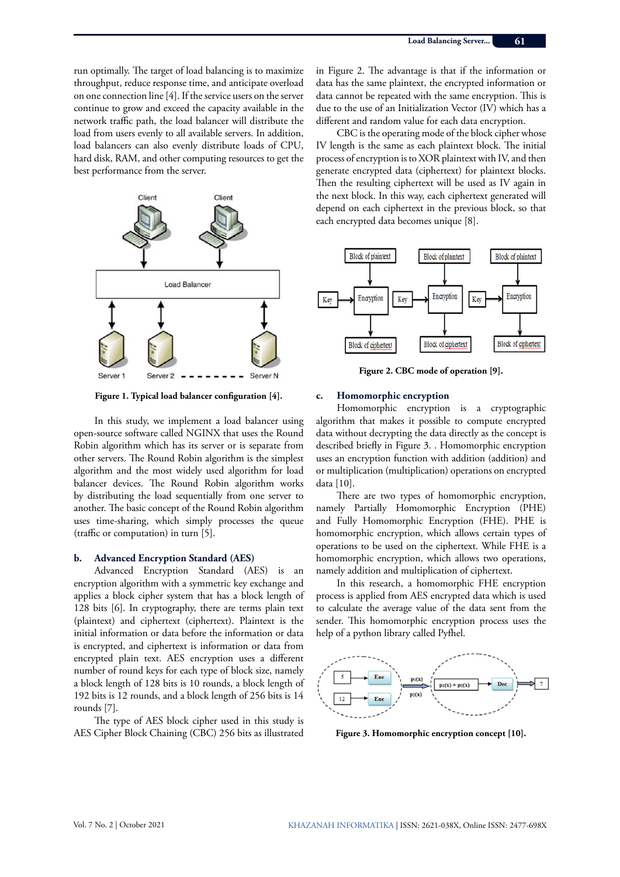run optimally. The target of load balancing is to maximize throughput, reduce response time, and anticipate overload on one connection line [4]. If the service users on the server continue to grow and exceed the capacity available in the network traffic path, the load balancer will distribute the load from users evenly to all available servers. In addition, load balancers can also evenly distribute loads of CPU, hard disk, RAM, and other computing resources to get the best performance from the server.



**Figure 1. Typical load balancer configuration [4].**

In this study, we implement a load balancer using open-source software called NGINX that uses the Round Robin algorithm which has its server or is separate from other servers. The Round Robin algorithm is the simplest algorithm and the most widely used algorithm for load balancer devices. The Round Robin algorithm works by distributing the load sequentially from one server to another. The basic concept of the Round Robin algorithm uses time-sharing, which simply processes the queue (traffic or computation) in turn [5].

### **b. Advanced Encryption Standard (AES)**

Advanced Encryption Standard (AES) is an encryption algorithm with a symmetric key exchange and applies a block cipher system that has a block length of 128 bits [6]. In cryptography, there are terms plain text (plaintext) and ciphertext (ciphertext). Plaintext is the initial information or data before the information or data is encrypted, and ciphertext is information or data from encrypted plain text. AES encryption uses a different number of round keys for each type of block size, namely a block length of 128 bits is 10 rounds, a block length of 192 bits is 12 rounds, and a block length of 256 bits is 14 rounds [7].

The type of AES block cipher used in this study is AES Cipher Block Chaining (CBC) 256 bits as illustrated

in Figure 2. The advantage is that if the information or data has the same plaintext, the encrypted information or data cannot be repeated with the same encryption. This is due to the use of an Initialization Vector (IV) which has a different and random value for each data encryption.

CBC is the operating mode of the block cipher whose IV length is the same as each plaintext block. The initial process of encryption is to XOR plaintext with IV, and then generate encrypted data (ciphertext) for plaintext blocks. Then the resulting ciphertext will be used as IV again in the next block. In this way, each ciphertext generated will depend on each ciphertext in the previous block, so that each encrypted data becomes unique [8].



**Figure 2. CBC mode of operation [9].**

#### **c. Homomorphic encryption**

Homomorphic encryption is a cryptographic algorithm that makes it possible to compute encrypted data without decrypting the data directly as the concept is described briefly in Figure 3. . Homomorphic encryption uses an encryption function with addition (addition) and or multiplication (multiplication) operations on encrypted data [10].

There are two types of homomorphic encryption, namely Partially Homomorphic Encryption (PHE) and Fully Homomorphic Encryption (FHE). PHE is homomorphic encryption, which allows certain types of operations to be used on the ciphertext. While FHE is a homomorphic encryption, which allows two operations, namely addition and multiplication of ciphertext.

In this research, a homomorphic FHE encryption process is applied from AES encrypted data which is used to calculate the average value of the data sent from the sender. This homomorphic encryption process uses the help of a python library called Pyfhel.



**Figure 3. Homomorphic encryption concept [10].**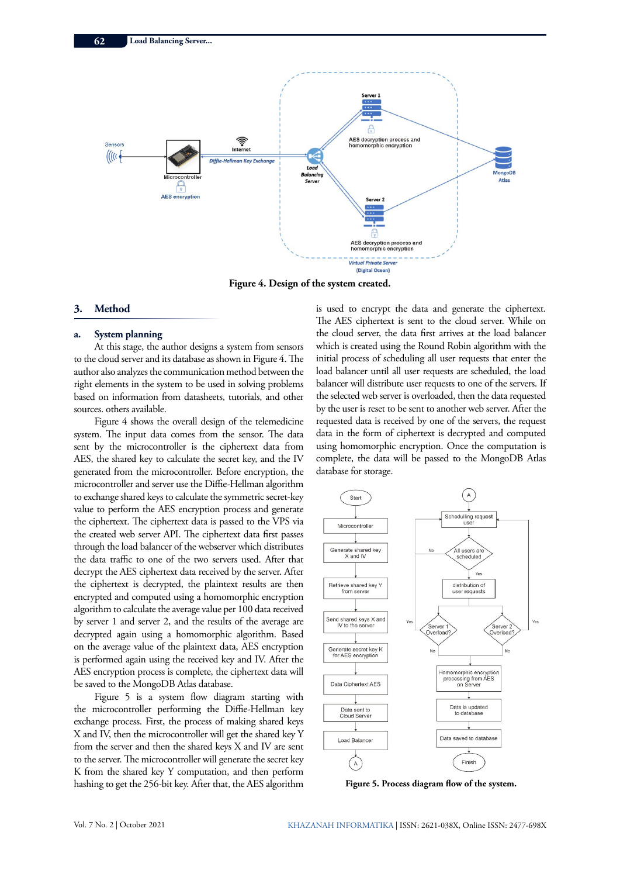

**Figure 4. Design of the system created.** 

## **3. Method**

#### **a. System planning**

At this stage, the author designs a system from sensors to the cloud server and its database as shown in Figure 4. The author also analyzes the communication method between the right elements in the system to be used in solving problems based on information from datasheets, tutorials, and other sources. others available.

Figure 4 shows the overall design of the telemedicine system. The input data comes from the sensor. The data sent by the microcontroller is the ciphertext data from AES, the shared key to calculate the secret key, and the IV generated from the microcontroller. Before encryption, the microcontroller and server use the Diffie-Hellman algorithm to exchange shared keys to calculate the symmetric secret-key value to perform the AES encryption process and generate the ciphertext. The ciphertext data is passed to the VPS via the created web server API. The ciphertext data first passes through the load balancer of the webserver which distributes the data traffic to one of the two servers used. After that decrypt the AES ciphertext data received by the server. After the ciphertext is decrypted, the plaintext results are then encrypted and computed using a homomorphic encryption algorithm to calculate the average value per 100 data received by server 1 and server 2, and the results of the average are decrypted again using a homomorphic algorithm. Based on the average value of the plaintext data, AES encryption is performed again using the received key and IV. After the AES encryption process is complete, the ciphertext data will be saved to the MongoDB Atlas database.

Figure 5 is a system flow diagram starting with the microcontroller performing the Diffie-Hellman key exchange process. First, the process of making shared keys X and IV, then the microcontroller will get the shared key Y from the server and then the shared keys X and IV are sent to the server. The microcontroller will generate the secret key K from the shared key Y computation, and then perform hashing to get the 256-bit key. After that, the AES algorithm

is used to encrypt the data and generate the ciphertext. The AES ciphertext is sent to the cloud server. While on the cloud server, the data first arrives at the load balancer which is created using the Round Robin algorithm with the initial process of scheduling all user requests that enter the load balancer until all user requests are scheduled, the load balancer will distribute user requests to one of the servers. If the selected web server is overloaded, then the data requested by the user is reset to be sent to another web server. After the requested data is received by one of the servers, the request data in the form of ciphertext is decrypted and computed using homomorphic encryption. Once the computation is complete, the data will be passed to the MongoDB Atlas database for storage.



**Figure 5. Process diagram flow of the system.**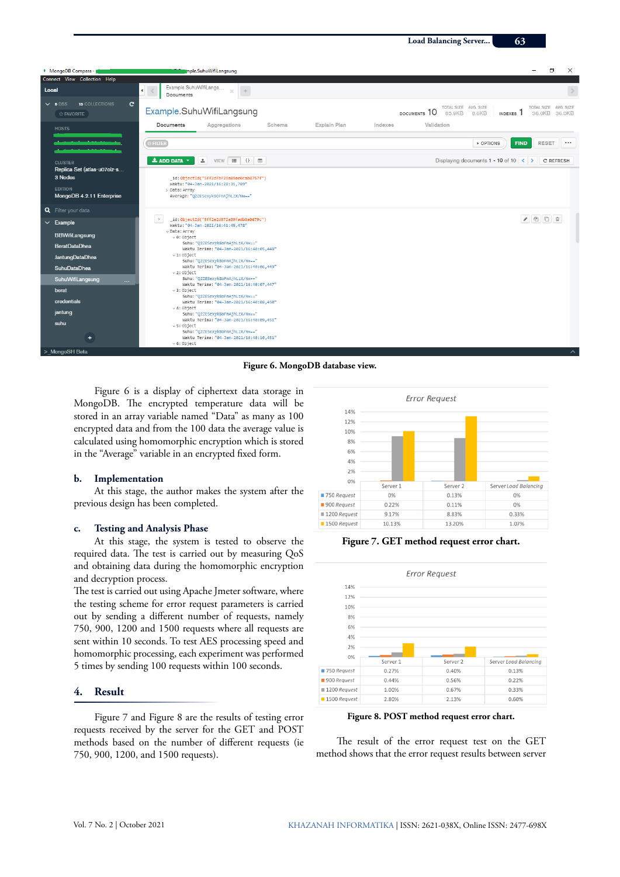

**Figure 6. MongoDB database view.**

Figure 6 is a display of ciphertext data storage in MongoDB. The encrypted temperature data will be stored in an array variable named "Data" as many as 100 encrypted data and from the 100 data the average value is calculated using homomorphic encryption which is stored in the "Average" variable in an encrypted fixed form.

#### **b. Implementation**

At this stage, the author makes the system after the previous design has been completed.

# **c. Testing and Analysis Phase**

At this stage, the system is tested to observe the required data. The test is carried out by measuring QoS and obtaining data during the homomorphic encryption and decryption process.

The test is carried out using Apache Jmeter software, where the testing scheme for error request parameters is carried out by sending a different number of requests, namely 750, 900, 1200 and 1500 requests where all requests are sent within 10 seconds. To test AES processing speed and homomorphic processing, each experiment was performed 5 times by sending 100 requests within 100 seconds.

# **4. Result**

Figure 7 and Figure 8 are the results of testing error requests received by the server for the GET and POST methods based on the number of different requests (ie 750, 900, 1200, and 1500 requests).



**Figure 7. GET method request error chart.**



**Figure 8. POST method request error chart.**

The result of the error request test on the GET method shows that the error request results between server